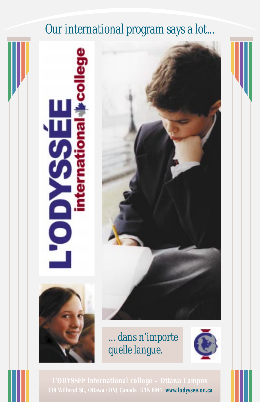## *Our international program says a lot...*





*... dans n'importe quelle langue.*



**339 Wilbrod St., Ottawa (ON) Canada K1N 6M4 www.lodyssee.on.ca**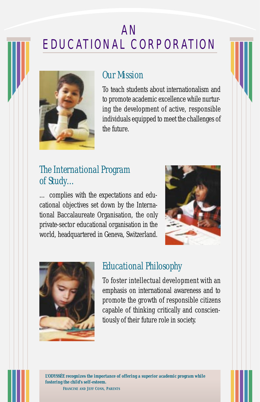## AN EDUCATIONAL CORPORATION



#### *Our Mission*

To teach students about internationalism and to promote academic excellence while nurturing the development of active, responsible individuals equipped to meet the challenges of the future.

### *The International Program of Study…*

… complies with the expectations and educational objectives set down by the International Baccalaureate Organisation, the only private-sector educational organisation in the world, headquartered in Geneva, Switzerland.





#### *Educational Philosophy*

To foster intellectual development with an emphasis on international awareness and to promote the growth of responsible citizens capable of thinking critically and conscientiously of their future role in society.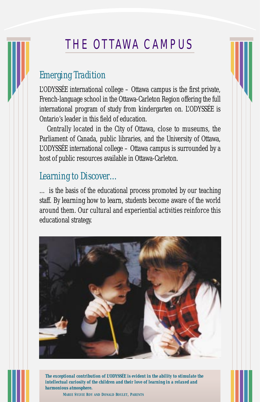## THE OTTAWA CAMPUS

### *Emerging Tradition*

L'ODYSSÉE international college – Ottawa campus is the first private, French-language school in the Ottawa-Carleton Region offering the full international program of study from kindergarten on. L'ODYSSÉE is Ontario's leader in this field of education.

Centrally located in the City of Ottawa, close to museums, the Parliament of Canada, public libraries, and the University of Ottawa, L'ODYSSÉE international college – Ottawa campus is surrounded by a host of public resources available in Ottawa-Carleton.

#### *Learning to Discover…*

… is the basis of the educational process promoted by our teaching staff. By *learning how to learn,* students become aware of the world around them. Our cultural and experiential activities reinforce this educational strategy.



*The exceptional contribution of L'ODYSSÉE is evident in the ability to stimulate the intellectual curiosity of the children and their love of learning in a relaxed and harmonious atmosphere.*

**MARIE SYLVIE ROY AND DONALD BOULET, PARENTS**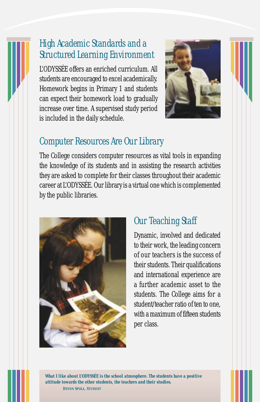### *High Academic Standards and a Structured Learning Environment*

L'ODYSSÉE offers an enriched curriculum. All students are encouraged to excel academically. Homework begins in Primary 1 and students can expect their homework load to gradually increase over time. A supervised study period is included in the daily schedule.



### *Computer Resources Are Our Library*

The College considers computer resources as vital tools in expanding the knowledge of its students and in assisting the research activities they are asked to complete for their classes throughout their academic career at L'ODYSSÉE. Our library is a virtual one which is complemented by the public libraries.



### *Our Teaching Staff*

Dynamic, involved and dedicated to their work, the leading concern of our teachers is the success of their students. Their qualifications and international experience are a further academic asset to the students. The College aims for a student/teacher ratio of ten to one, with a maximum of fifteen students per class.

*What I like about L'ODYSSÉE is the school atmosphere. The students have a positive attitude towards the other students, the teachers and their studies.* **DEVON SPIKA, STUDENT**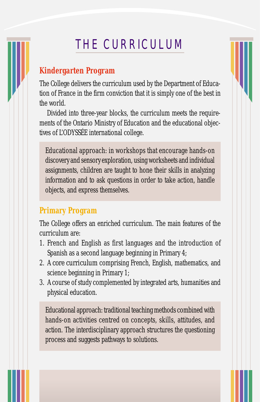# THE CURRICULUM

#### **Kindergarten Program**

The College delivers the curriculum used by the Department of Education of France in the firm conviction that it is simply one of the best in the world.

Divided into three-year blocks, the curriculum meets the requirements of the Ontario Ministry of Education and the educational objectives of L'ODYSSÉE international college.

Educational approach: in workshops that encourage hands-on discovery and sensory exploration, using worksheets and individual assignments, children are taught to hone their skills in analyzing information and to ask questions in order to take action, handle objects, and express themselves.

#### **Primary Program**

The College offers an enriched curriculum. The main features of the curriculum are:

- 1. French and English as first languages and the introduction of Spanish as a second language beginning in Primary 4;
- 2. A *core curriculum* comprising French, English, mathematics, and science beginning in Primary 1;
- 3. A course of study complemented by integrated arts, humanities and physical education.

Educational approach: traditional teaching methods combined with hands-on activities centred on concepts, skills, attitudes, and action. The interdisciplinary approach structures the questioning process and suggests pathways to solutions.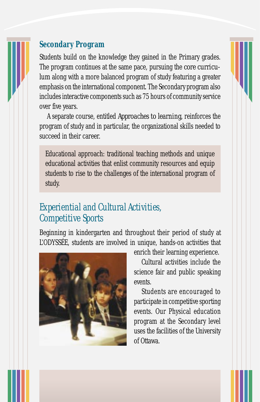## **Secondary Program**

Students build on the knowledge they gained in the Primary grades. The program continues at the same pace, pursuing the *core curriculum* along with a more balanced program of study featuring a greater emphasis on the international component. The Secondary program also includes interactive components such as 75 hours of community service over five years.

A separate course, entitled *Approaches to learning,* reinforces the program of study and in particular, the organizational skills needed to succeed in their career.

Educational approach: traditional teaching methods and unique educational activities that enlist community resources and equip students to rise to the challenges of the international program of study.

### *Experiential and Cultural Activities, Competitive Sports*

Beginning in kindergarten and throughout their period of study at L'ODYSSÉE, students are involved in unique, hands-on activities that



enrich their learning experience.

Cultural activities include the science fair and public speaking events.

Students are encouraged to participate in competitive sporting events. Our Physical education program at the Secondary level uses the facilities of the University of Ottawa.